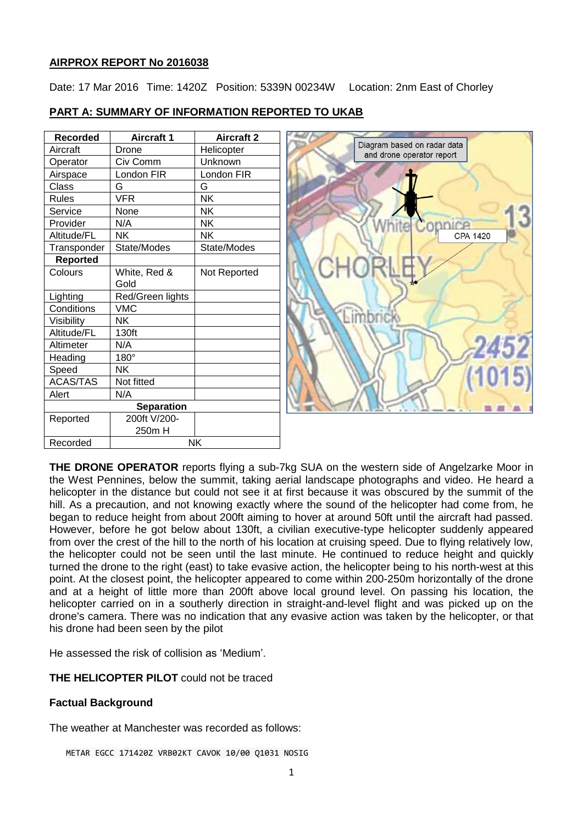## **AIRPROX REPORT No 2016038**

Date: 17 Mar 2016 Time: 1420Z Position: 5339N 00234W Location: 2nm East of Chorley

| <b>Recorded</b> | <b>Aircraft 1</b> | <b>Aircraft 2</b> |
|-----------------|-------------------|-------------------|
| Aircraft        | Drone             | Helicopter        |
| Operator        | Civ Comm          | Unknown           |
| Airspace        | London FIR        | London FIR        |
| Class           | G                 | G                 |
| <b>Rules</b>    | <b>VFR</b>        | <b>NK</b>         |
| Service         | None              | <b>NK</b>         |
| Provider        | N/A               | NK                |
| Altitude/FL     | NΚ                | NΚ                |
| Transponder     | State/Modes       | State/Modes       |
| <b>Reported</b> |                   |                   |
| Colours         | White, Red &      | Not Reported      |
|                 | Gold              |                   |
| Lighting        | Red/Green lights  |                   |
| Conditions      | <b>VMC</b>        |                   |
| Visibility      | NΚ                |                   |
| Altitude/FL     | 130ft             |                   |
| Altimeter       | N/A               |                   |
| Heading         | 180°              |                   |
| Speed           | <b>NK</b>         |                   |
| <b>ACAS/TAS</b> | Not fitted        |                   |
| Alert           | N/A               |                   |
|                 | <b>Separation</b> |                   |
| Reported        | 200ft V/200-      |                   |
|                 | 250m H            |                   |
| Recorded        | NK                |                   |

# **PART A: SUMMARY OF INFORMATION REPORTED TO UKAB**



**THE DRONE OPERATOR** reports flying a sub-7kg SUA on the western side of Angelzarke Moor in the West Pennines, below the summit, taking aerial landscape photographs and video. He heard a helicopter in the distance but could not see it at first because it was obscured by the summit of the hill. As a precaution, and not knowing exactly where the sound of the helicopter had come from, he began to reduce height from about 200ft aiming to hover at around 50ft until the aircraft had passed. However, before he got below about 130ft, a civilian executive-type helicopter suddenly appeared from over the crest of the hill to the north of his location at cruising speed. Due to flying relatively low, the helicopter could not be seen until the last minute. He continued to reduce height and quickly turned the drone to the right (east) to take evasive action, the helicopter being to his north-west at this point. At the closest point, the helicopter appeared to come within 200-250m horizontally of the drone and at a height of little more than 200ft above local ground level. On passing his location, the helicopter carried on in a southerly direction in straight-and-level flight and was picked up on the drone's camera. There was no indication that any evasive action was taken by the helicopter, or that his drone had been seen by the pilot

He assessed the risk of collision as 'Medium'.

**THE HELICOPTER PILOT** could not be traced

# **Factual Background**

The weather at Manchester was recorded as follows:

METAR EGCC 171420Z VRB02KT CAVOK 10/00 Q1031 NOSIG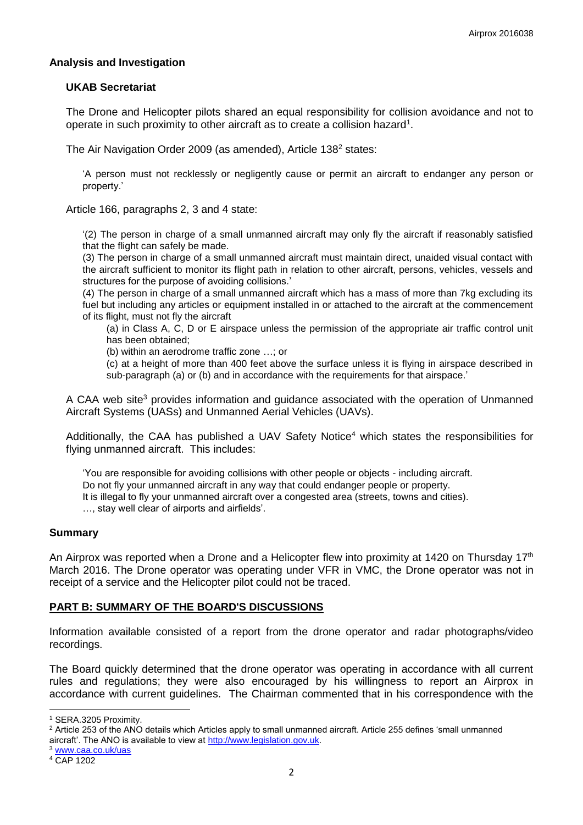## **Analysis and Investigation**

### **UKAB Secretariat**

The Drone and Helicopter pilots shared an equal responsibility for collision avoidance and not to operate in such proximity to other aircraft as to create a collision hazard<sup>1</sup>.

The Air Navigation Order 2009 (as amended), Article 138<sup>2</sup> states:

'A person must not recklessly or negligently cause or permit an aircraft to endanger any person or property.'

Article 166, paragraphs 2, 3 and 4 state:

'(2) The person in charge of a small unmanned aircraft may only fly the aircraft if reasonably satisfied that the flight can safely be made.

(3) The person in charge of a small unmanned aircraft must maintain direct, unaided visual contact with the aircraft sufficient to monitor its flight path in relation to other aircraft, persons, vehicles, vessels and structures for the purpose of avoiding collisions.'

(4) The person in charge of a small unmanned aircraft which has a mass of more than 7kg excluding its fuel but including any articles or equipment installed in or attached to the aircraft at the commencement of its flight, must not fly the aircraft

(a) in Class A, C, D or E airspace unless the permission of the appropriate air traffic control unit has been obtained;

(b) within an aerodrome traffic zone …; or

(c) at a height of more than 400 feet above the surface unless it is flying in airspace described in sub-paragraph (a) or (b) and in accordance with the requirements for that airspace.'

A CAA web site<sup>3</sup> provides information and guidance associated with the operation of Unmanned Aircraft Systems (UASs) and Unmanned Aerial Vehicles (UAVs).

Additionally, the CAA has published a UAV Safety Notice<sup>4</sup> which states the responsibilities for flying unmanned aircraft. This includes:

'You are responsible for avoiding collisions with other people or objects - including aircraft. Do not fly your unmanned aircraft in any way that could endanger people or property. It is illegal to fly your unmanned aircraft over a congested area (streets, towns and cities). …, stay well clear of airports and airfields'.

### **Summary**

An Airprox was reported when a Drone and a Helicopter flew into proximity at 1420 on Thursday 17<sup>th</sup> March 2016. The Drone operator was operating under VFR in VMC, the Drone operator was not in receipt of a service and the Helicopter pilot could not be traced.

### **PART B: SUMMARY OF THE BOARD'S DISCUSSIONS**

Information available consisted of a report from the drone operator and radar photographs/video recordings.

The Board quickly determined that the drone operator was operating in accordance with all current rules and regulations; they were also encouraged by his willingness to report an Airprox in accordance with current guidelines. The Chairman commented that in his correspondence with the

 $\overline{a}$ 

<sup>1</sup> SERA.3205 Proximity.

<sup>&</sup>lt;sup>2</sup> Article 253 of the ANO details which Articles apply to small unmanned aircraft. Article 255 defines 'small unmanned aircraft'. The ANO is available to view at [http://www.legislation.gov.uk.](http://www.legislation.gov.uk/)

<sup>3</sup> [www.caa.co.uk/uas](http://www.caa.co.uk/uas) 

<sup>4</sup> CAP 1202